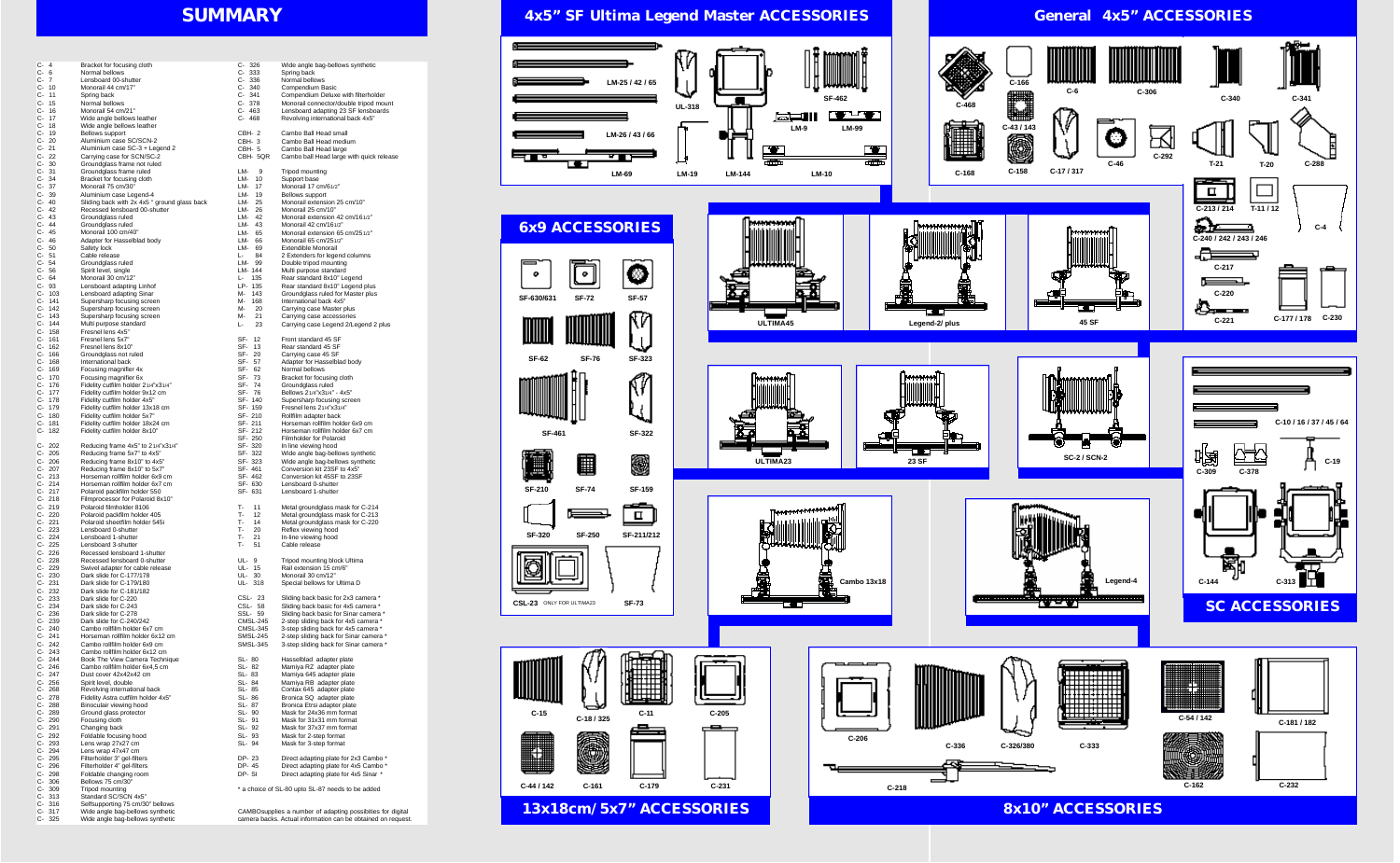# **SUMMARY**

| C- 4     |                   | Bracket for focusing cloth                                           |
|----------|-------------------|----------------------------------------------------------------------|
| C-       | 6                 | Normal bellows                                                       |
|          |                   |                                                                      |
| C- 7     |                   | Lensboard 00-shutter                                                 |
| C-       | 10                | Monorail 44 cm/17"                                                   |
| C- 11    |                   | Spring back                                                          |
| C- 15    |                   | Normal bellows                                                       |
| C- 16    |                   | Monorail 54 cm/21"                                                   |
| C-       | 17                | Wide angle bellows leather                                           |
| C- 18    |                   | Wide angle bellows leather                                           |
|          | C- 19             | <b>Bellows support</b>                                               |
|          | $C - 20$          | Aluminium case SC/SCN-2                                              |
| C- 21    |                   | Aluminium case SC-3 + Legend 2                                       |
|          | C-22              | Carrying case for SCN/SC-2                                           |
|          |                   |                                                                      |
|          | $C-30$            | Groundglass frame not ruled                                          |
| $C - 31$ |                   | Groundglass frame ruled                                              |
| C-       | 34                | Bracket for focusing cloth                                           |
| C-       | 37                | Monorail 75 cm/30"                                                   |
| C-       | 39                | Aluminium case Legend-4                                              |
|          | C- 40             | Sliding back with 2x 4x5 " ground glass back                         |
| $C-42$   |                   | Recessed lensboard 00-shutter                                        |
|          | C- 43             | Groundglass ruled                                                    |
|          | C- 44             | Groundglass ruled                                                    |
| C- 45    |                   | Monorail 100 cm/40"                                                  |
|          |                   |                                                                      |
| C- 46    |                   | Adapter for Hasselblad body                                          |
|          | C- 50             | Safety lock                                                          |
| C- 51    |                   | Cable release                                                        |
| C- 54    |                   | Groundglass ruled                                                    |
| $C - 56$ |                   | Spirit level, single                                                 |
|          | C- 64             | Monorail 30 cm/12"                                                   |
|          | C-93              | Lensboard adapting Linhof                                            |
|          | C- 103            | Lensboard adapting Sinar                                             |
|          | C- 141            | Supersharp focusing screen                                           |
| C-       |                   |                                                                      |
|          | 142               | Supersharp focusing screen                                           |
|          | C- 143            | Supersharp focusing screen                                           |
|          | C- 144            | Multi purpose standard                                               |
|          | C- 158            | Fresnel lens 4x5"                                                    |
| C-       | 161               | Fresnel lens 5x7"                                                    |
|          | C- 162            | Fresnel lens 8x10"                                                   |
|          | C- 166            | Groundglass not ruled                                                |
|          | C- 168            | International back                                                   |
|          |                   |                                                                      |
| C-       | 169               | Focusing magnifier 4x                                                |
|          | C- 170            | Focusing magnifier 6x                                                |
|          | C- 176            | Fidelity cutfilm holder 21/4"x31/4"                                  |
|          | C- 177            | Fidelity cutfilm holder 9x12 cm                                      |
|          | C- 178            | Fidelity cutfilm holder 4x5"                                         |
|          | C- 179            | Fidelity cutfilm holder 13x18 cm                                     |
|          | C- 180            | Fidelity cutfilm holder 5x7"                                         |
|          |                   |                                                                      |
|          |                   |                                                                      |
| C-       | 181               | Fidelity cutfilm holder 18x24 cm                                     |
| C-       | 182               | Fidelity cutfilm holder 8x10"                                        |
|          |                   |                                                                      |
| C-       | 202               | Reducing frame 4x5" to 21/4"x31/4"                                   |
|          | C- 205            | Reducing frame 5x7" to 4x5"                                          |
|          | C- 206            | Reducing frame 8x10" to 4x5"                                         |
|          | C- 207            | Reducing frame 8x10" to 5x7"                                         |
|          | $C - 213$         | Horseman rollfilm holder 6x9 cm                                      |
|          | C- 214            | Horseman rollfilm holder 6x7 cm                                      |
|          |                   |                                                                      |
|          | C- 217            | Polaroid packfilm holder 550                                         |
|          | $C-218$           | Filmprocessor for Polaroid 8x10"                                     |
| C-       | 219               | Polaroid filmholder 8106                                             |
| С-       | 220               | Polaroid packfilm holder 405                                         |
|          | C- 221            | Polaroid sheetfilm holder 545i                                       |
| C-       | 223               | Lensboard 0-shutter                                                  |
|          | C- 224            | Lensboard 1-shutter                                                  |
|          | C- 225            | Lensboard 3-shutter                                                  |
|          | C- 226            | Recessed lensboard 1-shutter                                         |
|          | C-228             | Recessed lensboard 0-shutter                                         |
|          |                   |                                                                      |
|          | C-229             | Swivel adapter for cable release                                     |
|          | C- 230            | Dark slide for C-177/178                                             |
|          | $C - 231$         | Dark slide for C-179/180                                             |
| C-       | 232               | Dark slide for C-181/182                                             |
| C-       | 233               | Dark slide for C-220                                                 |
|          | C- 234            | Dark slide for C-243                                                 |
|          | C-236             | Dark slide for C-278                                                 |
|          | C-239             | Dark slide for C-240/242                                             |
| C-       | 240               | Cambo rollfilm holder 6x7 cm                                         |
|          | C- 241            | Horseman rollfilm holder 6x12 cm                                     |
|          |                   |                                                                      |
|          | C- 242            | Cambo rollfilm holder 6x9 cm                                         |
|          | C- 243            | Cambo rollfilm holder 6x12 cm                                        |
| C-       | 244               | Book The View Camera Technique                                       |
|          | C- 246            | Cambo rollfilm holder 6x4,5 cm                                       |
|          | C- 247            | Dust cover 42x42x42 cm                                               |
|          | $C-256$           | Spirit level, double                                                 |
| C-       | 268               | Revolving international back                                         |
|          | C- 278            | Fidelity Astra cutfilm holder 4x5"                                   |
|          | C- 288            | Binoculair viewing hood                                              |
|          | C- 289            | Ground glass protector                                               |
|          | C- 290            |                                                                      |
|          |                   | Focusing cloth                                                       |
|          | C- 291            | Changing back                                                        |
|          | C- 292            | Foldable focusing hood                                               |
|          | C- 293            | Lens wrap 27x27 cm                                                   |
|          | C- 294            | Lens wrap 47x47 cm                                                   |
|          | C- 295            | Filterholder 3" gel-filters                                          |
|          | C- 296            | Filterholder 4" gel-filters                                          |
|          | C- 298            | Foldable changing room                                               |
| C-       | 306               | Bellows 75 cm/30"                                                    |
| C-       | 309               | Tripod mounting                                                      |
|          | $C-313$           | Standard SC/SCN 4x5"                                                 |
|          |                   |                                                                      |
|          | $C-316$<br>C- 317 | Selfsupporting 75 cm/30" bellows<br>Wide angle bag-bellows synthetic |

| C- 326                                                                                                                     | Wide angle bag-bellows synthetic                                               |  |  |
|----------------------------------------------------------------------------------------------------------------------------|--------------------------------------------------------------------------------|--|--|
| C- 333                                                                                                                     | Spring back                                                                    |  |  |
| C-<br>336                                                                                                                  | Normal bellows                                                                 |  |  |
| C- 340                                                                                                                     | Compendium Basic                                                               |  |  |
| C- 341<br>C- .<br>378                                                                                                      | Compendium Deluxe with filterholder<br>Monorail connector/double tripod mount  |  |  |
| С-<br>463                                                                                                                  | Lensboard adapting 23 SF lensboards                                            |  |  |
| C- 468                                                                                                                     | Revolving international back 4x5"                                              |  |  |
|                                                                                                                            |                                                                                |  |  |
| CBH-2                                                                                                                      | Cambo Ball Head small                                                          |  |  |
| CBH-3<br>CBH-5                                                                                                             | Cambo Ball Head medium<br>Cambo Ball Head large                                |  |  |
| CBH- 5QR                                                                                                                   | Cambo ball Head large with quick release                                       |  |  |
|                                                                                                                            |                                                                                |  |  |
| LM-<br>9                                                                                                                   | Tripod mounting                                                                |  |  |
| 10<br>LM-                                                                                                                  | Support base                                                                   |  |  |
| 17<br>LM-<br>19                                                                                                            | Monorail 17 cm/61/2"                                                           |  |  |
| LM-<br>LM-<br>25                                                                                                           | Bellows support<br>Monorail extension 25 cm/10"                                |  |  |
| LM-<br>- 26                                                                                                                | Monorail 25 cm/10"                                                             |  |  |
| LM- 42                                                                                                                     | Monorail extension 42 cm/161/2"                                                |  |  |
| 43<br>LM-                                                                                                                  | Monorail 42 cm/161/2"                                                          |  |  |
| LM- 65                                                                                                                     | Monorail extension 65 cm/251/2"                                                |  |  |
| LM-<br>- 66<br>LM-<br>69                                                                                                   | Monorail 65 cm/251/2"<br><b>Extendible Monorail</b>                            |  |  |
| Ŀ<br>84                                                                                                                    | 2 Extenders for legend columns                                                 |  |  |
| LM-<br>99                                                                                                                  | Double tripod mounting                                                         |  |  |
| LM- 144                                                                                                                    | Multi purpose standard                                                         |  |  |
| 135<br>Ŀ                                                                                                                   | Rear standard 8x10" Legend                                                     |  |  |
| LP- 135                                                                                                                    | Rear standard 8x10" Legend plus                                                |  |  |
| м-<br>143<br>M-<br>168                                                                                                     | Groundglass ruled for Master plus                                              |  |  |
| M-<br>20                                                                                                                   | International back 4x5"<br>Carrying case Master plus                           |  |  |
| M-<br>21                                                                                                                   | Carrying case accessories                                                      |  |  |
| -23<br>Ŀ                                                                                                                   | Carrying case Legend 2/Legend 2 plus                                           |  |  |
|                                                                                                                            |                                                                                |  |  |
| SF- 12                                                                                                                     | Front standard 45 SF                                                           |  |  |
| SF- 13<br>SF- 20                                                                                                           | Rear standard 45 SF                                                            |  |  |
| SF- 57                                                                                                                     | Carrying case 45 SF<br>Adapter for Hasselblad body                             |  |  |
| SF- 62                                                                                                                     | Normal bellows                                                                 |  |  |
| SF- 73                                                                                                                     | Bracket for focusing cloth                                                     |  |  |
| SF-<br>74                                                                                                                  | Groundglass ruled                                                              |  |  |
| SF- 76                                                                                                                     | Bellows 21/4"x31/4" - 4x5"                                                     |  |  |
| SF- 140<br>SF- 159                                                                                                         | Supersharp focusing screen                                                     |  |  |
| SF- 210                                                                                                                    | Fresnel lens 21/4"x31/4"<br>Rollfilm adapter back                              |  |  |
| SF- 211                                                                                                                    | Horseman rollfilm holder 6x9 cm                                                |  |  |
| SF- 212                                                                                                                    | Horseman rollfilm holder 6x7 cm                                                |  |  |
| SF- 250                                                                                                                    | <b>Filmholder for Polaroid</b>                                                 |  |  |
| SF-320                                                                                                                     | In line viewing hood                                                           |  |  |
| SF- 322                                                                                                                    | Wide angle bag-bellows synthetic                                               |  |  |
| SF-323<br>SF- 461                                                                                                          | Wide angle bag-bellows synthetic<br>Conversion kit 23SF to 4x5"                |  |  |
| SF- 462                                                                                                                    | Conversion kit 45SF to 23SF                                                    |  |  |
| SF- 630                                                                                                                    | Lensboard 0-shutter                                                            |  |  |
| SF- 631                                                                                                                    | Lensboard 1-shutter                                                            |  |  |
| т-<br>11                                                                                                                   | Metal groundglass mask for C-214                                               |  |  |
| 12<br>Ţ-                                                                                                                   | Metal groundglass mask for C-213                                               |  |  |
| T-<br>14                                                                                                                   | Metal groundglass mask for C-220                                               |  |  |
| т-<br>20                                                                                                                   | Reflex viewing hood                                                            |  |  |
| T-<br>21                                                                                                                   | In-line viewing hood                                                           |  |  |
| 51<br>т-                                                                                                                   | Cable release                                                                  |  |  |
| UL-<br>9                                                                                                                   | Tripod mounting block Ultima                                                   |  |  |
| UL-<br>15                                                                                                                  | Rail extension 15 cm/6"                                                        |  |  |
| UL-<br>30                                                                                                                  | Monorail 30 cm/12"                                                             |  |  |
| UL-<br>318                                                                                                                 | Special bellows for Ultima D                                                   |  |  |
|                                                                                                                            |                                                                                |  |  |
| CSL-<br>23<br>CSL-<br>58                                                                                                   | Sliding back basic for 2x3 camera *<br>Sliding back basic for 4x5 camera *     |  |  |
| SSL-<br>59                                                                                                                 | Sliding back basic for Sinar camera *                                          |  |  |
| CMSL-245                                                                                                                   | 2-step sliding back for 4x5 camera *                                           |  |  |
| CMSL-345                                                                                                                   | 3-step sliding back for 4x5 camera *                                           |  |  |
| SMSL-245                                                                                                                   | 2-step sliding back for Sinar camera *                                         |  |  |
| SMSL-345                                                                                                                   | 3-step sliding back for Sinar camera *                                         |  |  |
| SL- 80                                                                                                                     | Hasselblad adapter plate                                                       |  |  |
| SL- 82                                                                                                                     | Mamiya RZ adapter plate                                                        |  |  |
| SL- 83                                                                                                                     | Mamiya 645 adapter plate                                                       |  |  |
| SL- 84                                                                                                                     | Mamiya RB adapter plate                                                        |  |  |
| SL- 85                                                                                                                     | Contax 645 adapter plate                                                       |  |  |
| SL- 86                                                                                                                     | Bronica SQ adapter plate                                                       |  |  |
| SL- 87<br>SL- 90                                                                                                           | Bronica Etrsi adapter plate<br>Mask for 24x36 mm format                        |  |  |
| SL- 91                                                                                                                     | Mask for 31x31 mm format                                                       |  |  |
| SL- 92                                                                                                                     | Mask for 37x37 mm format                                                       |  |  |
| SL- 93                                                                                                                     | Mask for 2-step format                                                         |  |  |
| SL- 94                                                                                                                     | Mask for 3-step format                                                         |  |  |
|                                                                                                                            |                                                                                |  |  |
| DP- 23<br>DP- 45                                                                                                           | Direct adapting plate for 2x3 Cambo *<br>Direct adapting plate for 4x5 Cambo * |  |  |
| dp- si                                                                                                                     | Direct adapting plate for 4x5 Sinar *                                          |  |  |
|                                                                                                                            |                                                                                |  |  |
|                                                                                                                            | * a choice of SL-80 upto SL-87 needs to be added                               |  |  |
|                                                                                                                            |                                                                                |  |  |
|                                                                                                                            |                                                                                |  |  |
| CAMBOsupplies a number of adapting possibities for digital<br>camera backs. Actual information can be obtained on request. |                                                                                |  |  |

**4x5" SF Ultima Legend Master ACCESSORIES General 4x5" ACCESSORIES** 

**13x18cm/5x7" ACCESSORIES**



### **6x9 ACCESSORIES**

**8x10" ACCESSORIES**





**ULTIMA23**